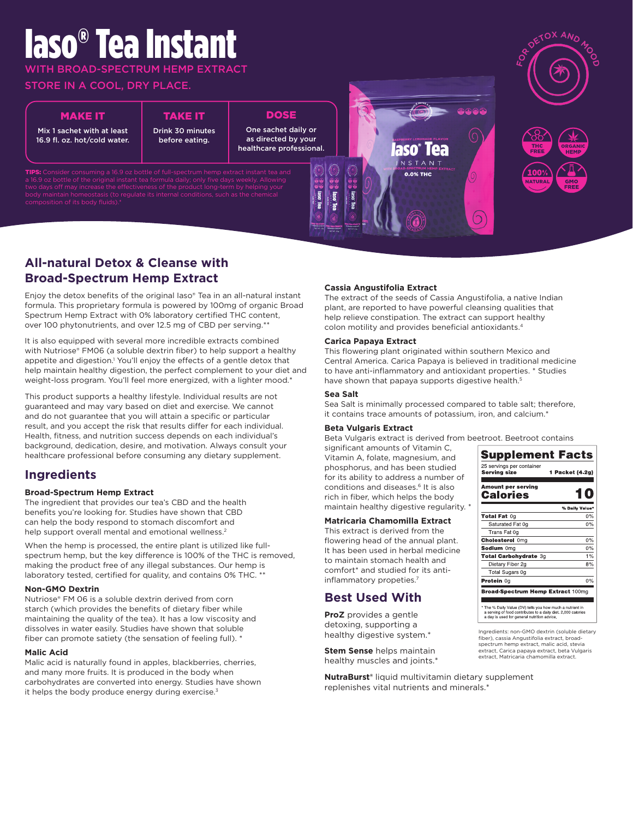# Iaso® Tea Instant

## **H BROAD-SPECTRUM HEMP EXTRACT**

## STORE IN A COOL, DRY PLACE.

## MAKE IT

Mix 1 sachet with at least 16.9 fl. oz. hot/cold water.

TAKE IT Drink 30 minutes before eating.

## **DOSE**

One sachet daily or as directed by your healthcare professional.

a<br>George

**TIPS:** Consider consuming a 16.9 oz bottle of full-spectrum hemp extract instant tea and<br>a 16.9 oz bottle of the original instant tea formula daily; only five days weekly. Allowing<br>two days off may increase the effectiven body maintain homeostasis (to regulate its internal conditions, such as the chemical composition of its body fluids).\*





# **All-natural Detox & Cleanse with Broad-Spectrum Hemp Extract**

Enjoy the detox benefits of the original Iaso® Tea in an all-natural instant formula. This proprietary formula is powered by 100mg of organic Broad Spectrum Hemp Extract with 0% laboratory certified THC content, over 100 phytonutrients, and over 12.5 mg of CBD per serving.\*\*

It is also equipped with several more incredible extracts combined with Nutriose® FM06 (a soluble dextrin fiber) to help support a healthy appetite and digestion.<sup>1</sup> You'll enjoy the effects of a gentle detox that help maintain healthy digestion, the perfect complement to your diet and weight-loss program. You'll feel more energized, with a lighter mood.\*

This product supports a healthy lifestyle. Individual results are not guaranteed and may vary based on diet and exercise. We cannot and do not guarantee that you will attain a specific or particular result, and you accept the risk that results differ for each individual. Health, fitness, and nutrition success depends on each individual's background, dedication, desire, and motivation. Always consult your healthcare professional before consuming any dietary supplement.

## **Ingredients**

#### **Broad-Spectrum Hemp Extract**

The ingredient that provides our tea's CBD and the health benefits you're looking for. Studies have shown that CBD can help the body respond to stomach discomfort and help support overall mental and emotional wellness.<sup>2</sup>

When the hemp is processed, the entire plant is utilized like fullspectrum hemp, but the key difference is 100% of the THC is removed, making the product free of any illegal substances. Our hemp is laboratory tested, certified for quality, and contains 0% THC. \*\*

#### **Non-GMO Dextrin**

Nutriose® FM 06 is a soluble dextrin derived from corn starch (which provides the benefits of dietary fiber while maintaining the quality of the tea). It has a low viscosity and dissolves in water easily. Studies have shown that soluble fiber can promote satiety (the sensation of feeling full). \*

#### **Malic Acid**

Malic acid is naturally found in apples, blackberries, cherries, and many more fruits. It is produced in the body when carbohydrates are converted into energy. Studies have shown it helps the body produce energy during exercise.<sup>3</sup>

### **Cassia Angustifolia Extract**

The extract of the seeds of Cassia Angustifolia, a native Indian plant, are reported to have powerful cleansing qualities that help relieve constipation. The extract can support healthy colon motility and provides beneficial antioxidants.4

#### **Carica Papaya Extract**

This flowering plant originated within southern Mexico and Central America. Carica Papaya is believed in traditional medicine to have anti-inflammatory and antioxidant properties. \* Studies have shown that papaya supports digestive health.<sup>5</sup>

#### **Sea Salt**

Sea Salt is minimally processed compared to table salt; therefore, it contains trace amounts of potassium, iron, and calcium.\*

#### **Beta Vulgaris Extract**

Beta Vulgaris extract is derived from beetroot. Beetroot contains

significant amounts of Vitamin C, Vitamin A, folate, magnesium, and phosphorus, and has been studied for its ability to address a number of conditions and diseases.<sup>6</sup> It is also rich in fiber, which helps the body maintain healthy digestive regularity. \*

#### **Matricaria Chamomilla Extract**

This extract is derived from the flowering head of the annual plant. It has been used in herbal medicine to maintain stomach health and comfort\* and studied for its antiinflammatory propeties.7

## **Best Used With**

**ProZ** provides a gentle detoxing, supporting a healthy digestive system.\*

**Stem Sense** helps maintain healthy muscles and joints.\*

**NutraBurst®** liquid multivitamin dietary supplement replenishes vital nutrients and minerals.\*



Ingredients: non-GMO dextrin (soluble dietary fiber), cassia Angustifolia extract, broad-spectrum hemp extract, malic acid, stevia extract, Carica papaya extract, beta Vulgaris extract, Matricaria chamomilla extract.